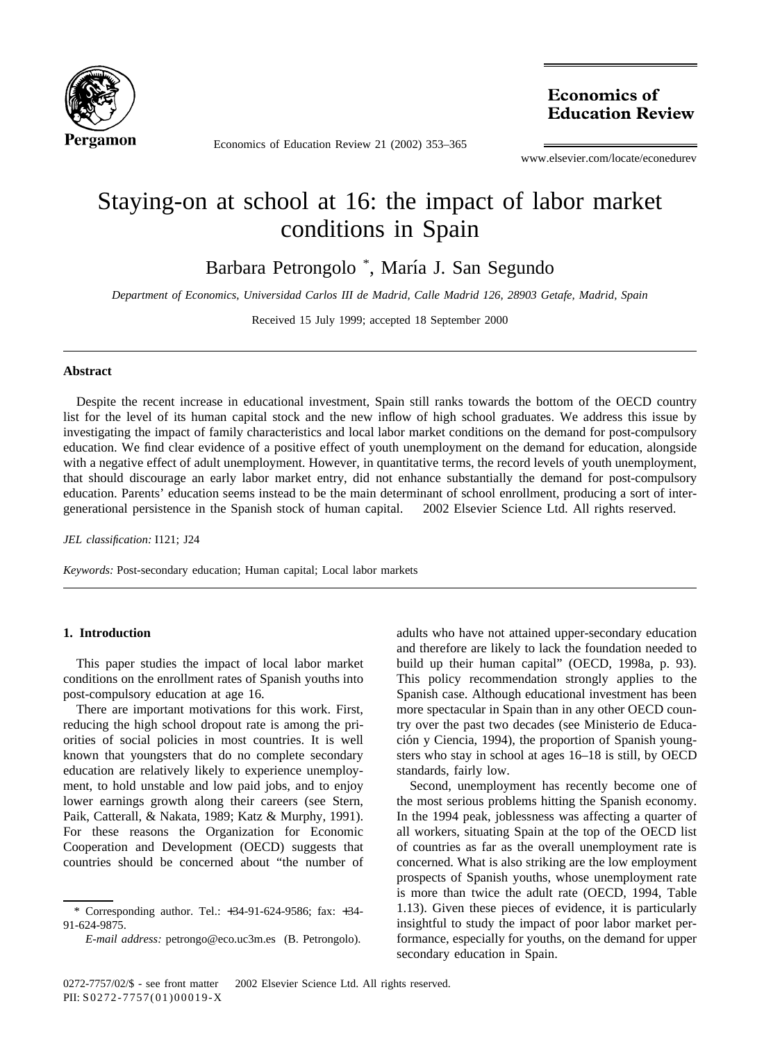

Economics of Education Review 21 (2002) 353–365

**Economics of Education Review** 

www.elsevier.com/locate/econedurev

## Staying-on at school at 16: the impact of labor market conditions in Spain

Barbara Petrongolo \*, María J. San Segundo

*Department of Economics, Universidad Carlos III de Madrid, Calle Madrid 126, 28903 Getafe, Madrid, Spain*

Received 15 July 1999; accepted 18 September 2000

## **Abstract**

Despite the recent increase in educational investment, Spain still ranks towards the bottom of the OECD country list for the level of its human capital stock and the new inflow of high school graduates. We address this issue by investigating the impact of family characteristics and local labor market conditions on the demand for post-compulsory education. We find clear evidence of a positive effect of youth unemployment on the demand for education, alongside with a negative effect of adult unemployment. However, in quantitative terms, the record levels of youth unemployment, that should discourage an early labor market entry, did not enhance substantially the demand for post-compulsory education. Parents' education seems instead to be the main determinant of school enrollment, producing a sort of intergenerational persistence in the Spanish stock of human capital. © 2002 Elsevier Science Ltd. All rights reserved.

*JEL classification:* I121; J24

*Keywords:* Post-secondary education; Human capital; Local labor markets

## **1. Introduction**

This paper studies the impact of local labor market conditions on the enrollment rates of Spanish youths into post-compulsory education at age 16.

There are important motivations for this work. First, reducing the high school dropout rate is among the priorities of social policies in most countries. It is well known that youngsters that do no complete secondary education are relatively likely to experience unemployment, to hold unstable and low paid jobs, and to enjoy lower earnings growth along their careers (see Stern, Paik, Catterall, & Nakata, 1989; Katz & Murphy, 1991). For these reasons the Organization for Economic Cooperation and Development (OECD) suggests that countries should be concerned about "the number of

adults who have not attained upper-secondary education and therefore are likely to lack the foundation needed to build up their human capital" (OECD, 1998a, p. 93). This policy recommendation strongly applies to the Spanish case. Although educational investment has been more spectacular in Spain than in any other OECD country over the past two decades (see Ministerio de Educación y Ciencia, 1994), the proportion of Spanish youngsters who stay in school at ages 16–18 is still, by OECD standards, fairly low.

Second, unemployment has recently become one of the most serious problems hitting the Spanish economy. In the 1994 peak, joblessness was affecting a quarter of all workers, situating Spain at the top of the OECD list of countries as far as the overall unemployment rate is concerned. What is also striking are the low employment prospects of Spanish youths, whose unemployment rate is more than twice the adult rate (OECD, 1994, Table 1.13). Given these pieces of evidence, it is particularly insightful to study the impact of poor labor market performance, especially for youths, on the demand for upper secondary education in Spain.

<sup>\*</sup> Corresponding author. Tel.: +34-91-624-9586; fax: +34- 91-624-9875.

*E-mail address:* petrongo@eco.uc3m.es (B. Petrongolo).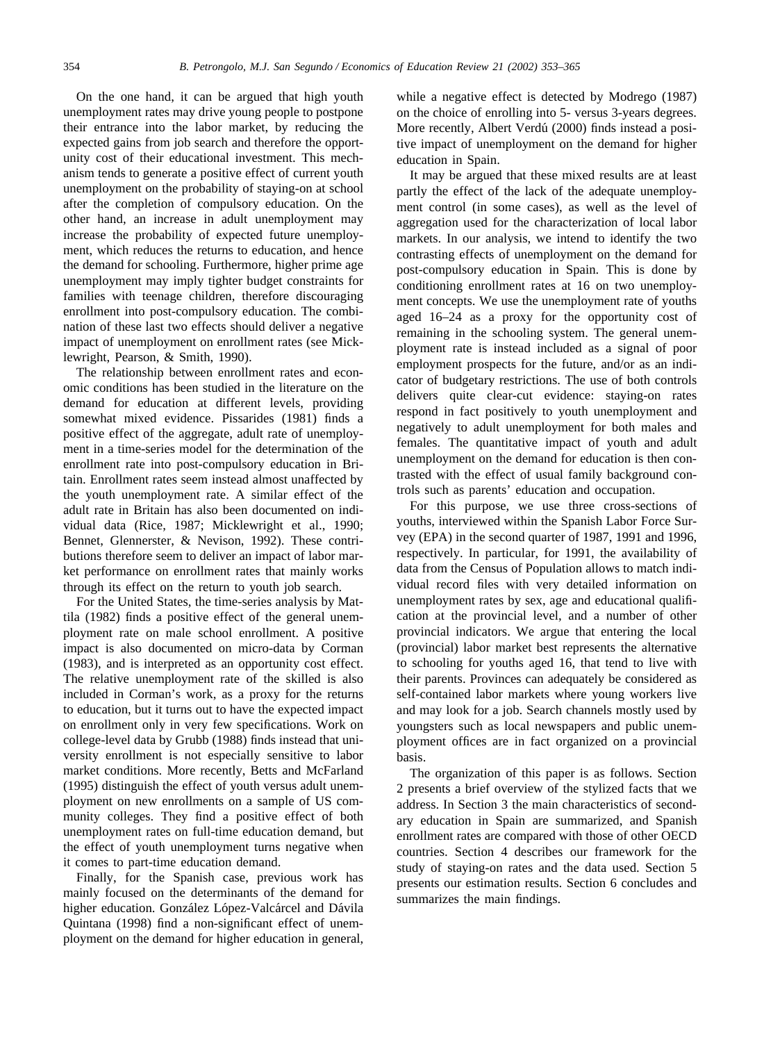On the one hand, it can be argued that high youth unemployment rates may drive young people to postpone their entrance into the labor market, by reducing the expected gains from job search and therefore the opportunity cost of their educational investment. This mechanism tends to generate a positive effect of current youth unemployment on the probability of staying-on at school after the completion of compulsory education. On the other hand, an increase in adult unemployment may increase the probability of expected future unemployment, which reduces the returns to education, and hence the demand for schooling. Furthermore, higher prime age unemployment may imply tighter budget constraints for families with teenage children, therefore discouraging enrollment into post-compulsory education. The combination of these last two effects should deliver a negative impact of unemployment on enrollment rates (see Micklewright, Pearson, & Smith, 1990).

The relationship between enrollment rates and economic conditions has been studied in the literature on the demand for education at different levels, providing somewhat mixed evidence. Pissarides (1981) finds a positive effect of the aggregate, adult rate of unemployment in a time-series model for the determination of the enrollment rate into post-compulsory education in Britain. Enrollment rates seem instead almost unaffected by the youth unemployment rate. A similar effect of the adult rate in Britain has also been documented on individual data (Rice, 1987; Micklewright et al., 1990; Bennet, Glennerster, & Nevison, 1992). These contributions therefore seem to deliver an impact of labor market performance on enrollment rates that mainly works through its effect on the return to youth job search.

For the United States, the time-series analysis by Mattila (1982) finds a positive effect of the general unemployment rate on male school enrollment. A positive impact is also documented on micro-data by Corman (1983), and is interpreted as an opportunity cost effect. The relative unemployment rate of the skilled is also included in Corman's work, as a proxy for the returns to education, but it turns out to have the expected impact on enrollment only in very few specifications. Work on college-level data by Grubb (1988) finds instead that university enrollment is not especially sensitive to labor market conditions. More recently, Betts and McFarland (1995) distinguish the effect of youth versus adult unemployment on new enrollments on a sample of US community colleges. They find a positive effect of both unemployment rates on full-time education demand, but the effect of youth unemployment turns negative when it comes to part-time education demand.

Finally, for the Spanish case, previous work has mainly focused on the determinants of the demand for higher education. González López-Valcárcel and Dávila Quintana (1998) find a non-significant effect of unemployment on the demand for higher education in general,

while a negative effect is detected by Modrego (1987) on the choice of enrolling into 5- versus 3-years degrees. More recently, Albert Verdú (2000) finds instead a positive impact of unemployment on the demand for higher education in Spain.

It may be argued that these mixed results are at least partly the effect of the lack of the adequate unemployment control (in some cases), as well as the level of aggregation used for the characterization of local labor markets. In our analysis, we intend to identify the two contrasting effects of unemployment on the demand for post-compulsory education in Spain. This is done by conditioning enrollment rates at 16 on two unemployment concepts. We use the unemployment rate of youths aged 16–24 as a proxy for the opportunity cost of remaining in the schooling system. The general unemployment rate is instead included as a signal of poor employment prospects for the future, and/or as an indicator of budgetary restrictions. The use of both controls delivers quite clear-cut evidence: staying-on rates respond in fact positively to youth unemployment and negatively to adult unemployment for both males and females. The quantitative impact of youth and adult unemployment on the demand for education is then contrasted with the effect of usual family background controls such as parents' education and occupation.

For this purpose, we use three cross-sections of youths, interviewed within the Spanish Labor Force Survey (EPA) in the second quarter of 1987, 1991 and 1996, respectively. In particular, for 1991, the availability of data from the Census of Population allows to match individual record files with very detailed information on unemployment rates by sex, age and educational qualification at the provincial level, and a number of other provincial indicators. We argue that entering the local (provincial) labor market best represents the alternative to schooling for youths aged 16, that tend to live with their parents. Provinces can adequately be considered as self-contained labor markets where young workers live and may look for a job. Search channels mostly used by youngsters such as local newspapers and public unemployment offices are in fact organized on a provincial basis.

The organization of this paper is as follows. Section 2 presents a brief overview of the stylized facts that we address. In Section 3 the main characteristics of secondary education in Spain are summarized, and Spanish enrollment rates are compared with those of other OECD countries. Section 4 describes our framework for the study of staying-on rates and the data used. Section 5 presents our estimation results. Section 6 concludes and summarizes the main findings.